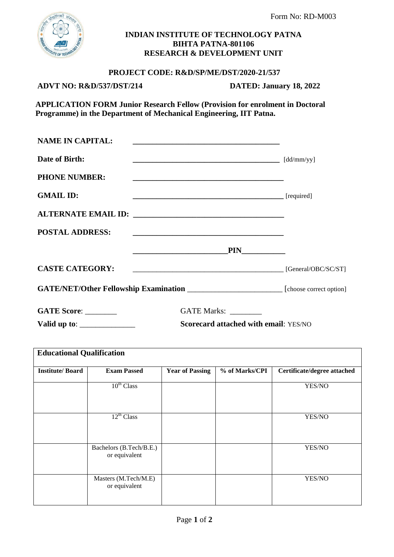

### **INDIAN INSTITUTE OF TECHNOLOGY PATNA BIHTA PATNA-801106 RESEARCH & DEVELOPMENT UNIT**

### **PROJECT CODE: R&D/SP/ME/DST/2020-21/537**

## **ADVT NO: R&D/537/DST/214 DATED: January 18, 2022**

 **APPLICATION FORM Junior Research Fellow (Provision for enrolment in Doctoral Programme) in the Department of Mechanical Engineering, IIT Patna.**

| <b>NAME IN CAPITAL:</b>                        | <u> 1989 - Andrea Stadt Britain, amerikansk politiker (d. 1989)</u>                                                   |  |
|------------------------------------------------|-----------------------------------------------------------------------------------------------------------------------|--|
| Date of Birth:                                 | $\left[dd/mm/yy\right]$                                                                                               |  |
| <b>PHONE NUMBER:</b>                           | <u> 1980 - Johann Barn, amerikan besteman besteman besteman besteman besteman besteman besteman besteman besteman</u> |  |
| <b>GMAIL ID:</b>                               |                                                                                                                       |  |
|                                                |                                                                                                                       |  |
| <b>POSTAL ADDRESS:</b>                         | <u> 1989 - Johann John Stone, markin film yn y brenin y brenin y brenin y brenin y brenin y brenin y brenin y br</u>  |  |
|                                                | $\overline{PIN}$                                                                                                      |  |
| <b>CASTE CATEGORY:</b>                         | $\Box$ [General/OBC/SC/ST]                                                                                            |  |
|                                                | GATE/NET/Other Fellowship Examination ___________________________ [choose correct option]                             |  |
| GATE Score:                                    | GATE Marks:                                                                                                           |  |
| Valid up to: $\frac{\phantom{1}}{\phantom{1}}$ | <b>Scorecard attached with email: YES/NO</b>                                                                          |  |

| <b>Educational Qualification</b> |                                          |                        |                |                             |  |  |
|----------------------------------|------------------------------------------|------------------------|----------------|-----------------------------|--|--|
| <b>Institute/Board</b>           | <b>Exam Passed</b>                       | <b>Year of Passing</b> | % of Marks/CPI | Certificate/degree attached |  |  |
|                                  | $10^{th}$ Class                          |                        |                | YES/NO                      |  |  |
|                                  | $12^{th}$ Class                          |                        |                | YES/NO                      |  |  |
|                                  | Bachelors (B.Tech/B.E.)<br>or equivalent |                        |                | YES/NO                      |  |  |
|                                  | Masters (M.Tech/M.E)<br>or equivalent    |                        |                | YES/NO                      |  |  |